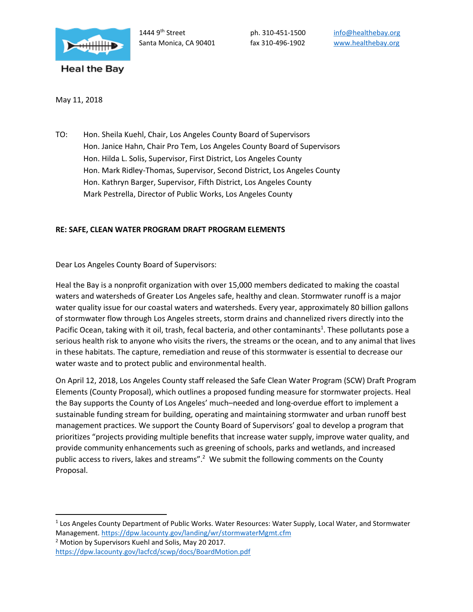

May 11, 2018

TO: Hon. Sheila Kuehl, Chair, Los Angeles County Board of Supervisors Hon. Janice Hahn, Chair Pro Tem, Los Angeles County Board of Supervisors Hon. Hilda L. Solis, Supervisor, First District, Los Angeles County Hon. Mark Ridley-Thomas, Supervisor, Second District, Los Angeles County Hon. Kathryn Barger, Supervisor, Fifth District, Los Angeles County Mark Pestrella, Director of Public Works, Los Angeles County

## **RE: SAFE, CLEAN WATER PROGRAM DRAFT PROGRAM ELEMENTS**

Dear Los Angeles County Board of Supervisors:

Heal the Bay is a nonprofit organization with over 15,000 members dedicated to making the coastal waters and watersheds of Greater Los Angeles safe, healthy and clean. Stormwater runoff is a major water quality issue for our coastal waters and watersheds. Every year, approximately 80 billion gallons of stormwater flow through Los Angeles streets, storm drains and channelized rivers directly into the Pacific Ocean, taking with it oil, trash, fecal bacteria, and other contaminants<sup>1</sup>. These pollutants pose a serious health risk to anyone who visits the rivers, the streams or the ocean, and to any animal that lives in these habitats. The capture, remediation and reuse of this stormwater is essential to decrease our water waste and to protect public and environmental health.

On April 12, 2018, Los Angeles County staff released the Safe Clean Water Program (SCW) Draft Program Elements (County Proposal), which outlines a proposed funding measure for stormwater projects. Heal the Bay supports the County of Los Angeles' much–needed and long-overdue effort to implement a sustainable funding stream for building, operating and maintaining stormwater and urban runoff best management practices. We support the County Board of Supervisors' goal to develop a program that prioritizes "projects providing multiple benefits that increase water supply, improve water quality, and provide community enhancements such as greening of schools, parks and wetlands, and increased public access to rivers, lakes and streams".<sup>2</sup> We submit the following comments on the County Proposal.

 $<sup>2</sup>$  Motion by Supervisors Kuehl and Solis, May 20 2017.</sup>

 $\overline{a}$ 

<sup>&</sup>lt;sup>1</sup> Los Angeles County Department of Public Works. Water Resources: Water Supply, Local Water, and Stormwater Management[. https://dpw.lacounty.gov/landing/wr/stormwaterMgmt.cfm](https://dpw.lacounty.gov/landing/wr/stormwaterMgmt.cfm)

<https://dpw.lacounty.gov/lacfcd/scwp/docs/BoardMotion.pdf>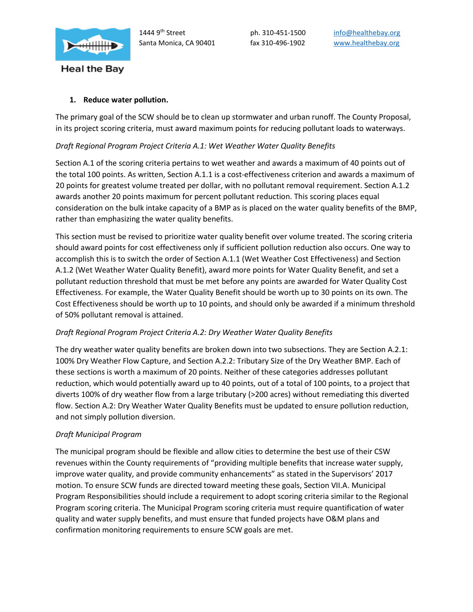

# **1. Reduce water pollution.**

The primary goal of the SCW should be to clean up stormwater and urban runoff. The County Proposal, in its project scoring criteria, must award maximum points for reducing pollutant loads to waterways.

# *Draft Regional Program Project Criteria A.1: Wet Weather Water Quality Benefits*

Section A.1 of the scoring criteria pertains to wet weather and awards a maximum of 40 points out of the total 100 points. As written, Section A.1.1 is a cost-effectiveness criterion and awards a maximum of 20 points for greatest volume treated per dollar, with no pollutant removal requirement. Section A.1.2 awards another 20 points maximum for percent pollutant reduction. This scoring places equal consideration on the bulk intake capacity of a BMP as is placed on the water quality benefits of the BMP, rather than emphasizing the water quality benefits.

This section must be revised to prioritize water quality benefit over volume treated. The scoring criteria should award points for cost effectiveness only if sufficient pollution reduction also occurs. One way to accomplish this is to switch the order of Section A.1.1 (Wet Weather Cost Effectiveness) and Section A.1.2 (Wet Weather Water Quality Benefit), award more points for Water Quality Benefit, and set a pollutant reduction threshold that must be met before any points are awarded for Water Quality Cost Effectiveness. For example, the Water Quality Benefit should be worth up to 30 points on its own. The Cost Effectiveness should be worth up to 10 points, and should only be awarded if a minimum threshold of 50% pollutant removal is attained.

# *Draft Regional Program Project Criteria A.2: Dry Weather Water Quality Benefits*

The dry weather water quality benefits are broken down into two subsections. They are Section A.2.1: 100% Dry Weather Flow Capture, and Section A.2.2: Tributary Size of the Dry Weather BMP. Each of these sections is worth a maximum of 20 points. Neither of these categories addresses pollutant reduction, which would potentially award up to 40 points, out of a total of 100 points, to a project that diverts 100% of dry weather flow from a large tributary (>200 acres) without remediating this diverted flow. Section A.2: Dry Weather Water Quality Benefits must be updated to ensure pollution reduction, and not simply pollution diversion.

# *Draft Municipal Program*

The municipal program should be flexible and allow cities to determine the best use of their CSW revenues within the County requirements of "providing multiple benefits that increase water supply, improve water quality, and provide community enhancements" as stated in the Supervisors' 2017 motion. To ensure SCW funds are directed toward meeting these goals, Section VII.A. Municipal Program Responsibilities should include a requirement to adopt scoring criteria similar to the Regional Program scoring criteria. The Municipal Program scoring criteria must require quantification of water quality and water supply benefits, and must ensure that funded projects have O&M plans and confirmation monitoring requirements to ensure SCW goals are met.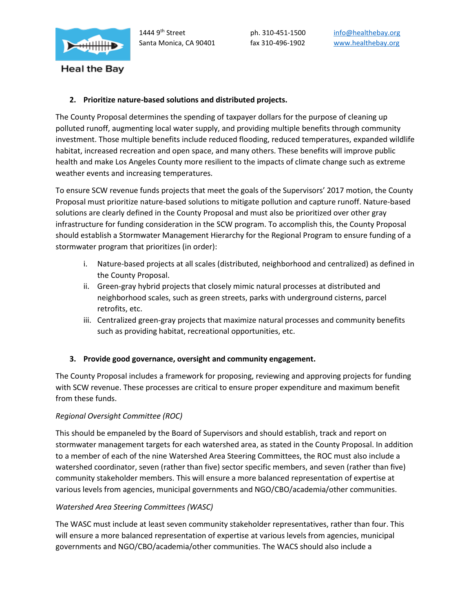

## **2. Prioritize nature-based solutions and distributed projects.**

The County Proposal determines the spending of taxpayer dollars for the purpose of cleaning up polluted runoff, augmenting local water supply, and providing multiple benefits through community investment. Those multiple benefits include reduced flooding, reduced temperatures, expanded wildlife habitat, increased recreation and open space, and many others. These benefits will improve public health and make Los Angeles County more resilient to the impacts of climate change such as extreme weather events and increasing temperatures.

To ensure SCW revenue funds projects that meet the goals of the Supervisors' 2017 motion, the County Proposal must prioritize nature-based solutions to mitigate pollution and capture runoff. Nature-based solutions are clearly defined in the County Proposal and must also be prioritized over other gray infrastructure for funding consideration in the SCW program. To accomplish this, the County Proposal should establish a Stormwater Management Hierarchy for the Regional Program to ensure funding of a stormwater program that prioritizes (in order):

- i. Nature-based projects at all scales (distributed, neighborhood and centralized) as defined in the County Proposal.
- ii. Green-gray hybrid projects that closely mimic natural processes at distributed and neighborhood scales, such as green streets, parks with underground cisterns, parcel retrofits, etc.
- iii. Centralized green-gray projects that maximize natural processes and community benefits such as providing habitat, recreational opportunities, etc.

# **3. Provide good governance, oversight and community engagement.**

The County Proposal includes a framework for proposing, reviewing and approving projects for funding with SCW revenue. These processes are critical to ensure proper expenditure and maximum benefit from these funds.

### *Regional Oversight Committee (ROC)*

This should be empaneled by the Board of Supervisors and should establish, track and report on stormwater management targets for each watershed area, as stated in the County Proposal. In addition to a member of each of the nine Watershed Area Steering Committees, the ROC must also include a watershed coordinator, seven (rather than five) sector specific members, and seven (rather than five) community stakeholder members. This will ensure a more balanced representation of expertise at various levels from agencies, municipal governments and NGO/CBO/academia/other communities.

### *Watershed Area Steering Committees (WASC)*

The WASC must include at least seven community stakeholder representatives, rather than four. This will ensure a more balanced representation of expertise at various levels from agencies, municipal governments and NGO/CBO/academia/other communities. The WACS should also include a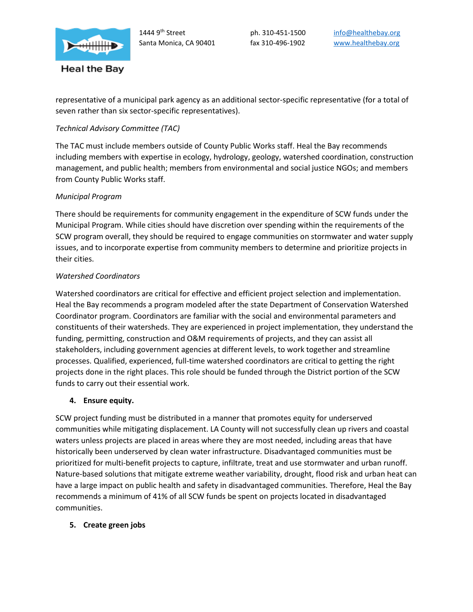

representative of a municipal park agency as an additional sector-specific representative (for a total of seven rather than six sector-specific representatives).

## *Technical Advisory Committee (TAC)*

The TAC must include members outside of County Public Works staff. Heal the Bay recommends including members with expertise in ecology, hydrology, geology, watershed coordination, construction management, and public health; members from environmental and social justice NGOs; and members from County Public Works staff.

### *Municipal Program*

There should be requirements for community engagement in the expenditure of SCW funds under the Municipal Program. While cities should have discretion over spending within the requirements of the SCW program overall, they should be required to engage communities on stormwater and water supply issues, and to incorporate expertise from community members to determine and prioritize projects in their cities.

## *Watershed Coordinators*

Watershed coordinators are critical for effective and efficient project selection and implementation. Heal the Bay recommends a program modeled after the state Department of Conservation Watershed Coordinator program. Coordinators are familiar with the social and environmental parameters and constituents of their watersheds. They are experienced in project implementation, they understand the funding, permitting, construction and O&M requirements of projects, and they can assist all stakeholders, including government agencies at different levels, to work together and streamline processes. Qualified, experienced, full-time watershed coordinators are critical to getting the right projects done in the right places. This role should be funded through the District portion of the SCW funds to carry out their essential work.

### **4. Ensure equity.**

SCW project funding must be distributed in a manner that promotes equity for underserved communities while mitigating displacement. LA County will not successfully clean up rivers and coastal waters unless projects are placed in areas where they are most needed, including areas that have historically been underserved by clean water infrastructure. Disadvantaged communities must be prioritized for multi-benefit projects to capture, infiltrate, treat and use stormwater and urban runoff. Nature-based solutions that mitigate extreme weather variability, drought, flood risk and urban heat can have a large impact on public health and safety in disadvantaged communities. Therefore, Heal the Bay recommends a minimum of 41% of all SCW funds be spent on projects located in disadvantaged communities.

### **5. Create green jobs**